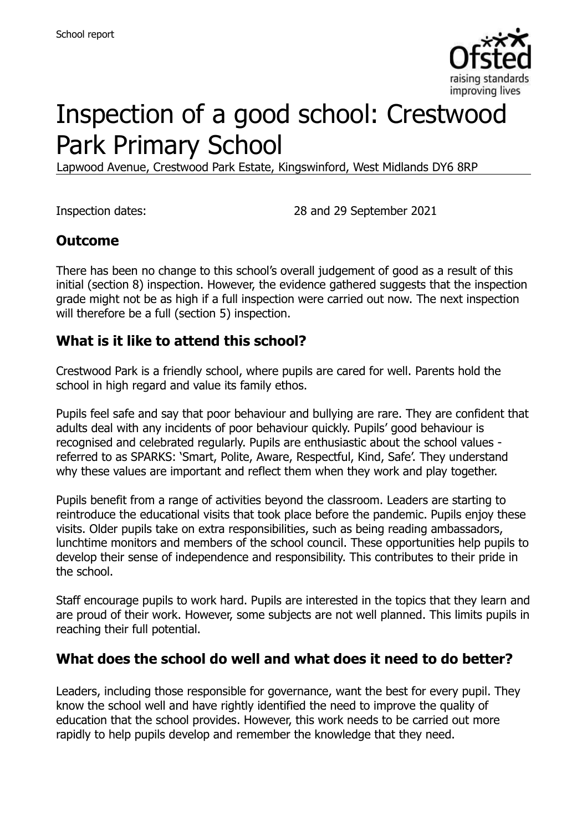

# Inspection of a good school: Crestwood Park Primary School

Lapwood Avenue, Crestwood Park Estate, Kingswinford, West Midlands DY6 8RP

Inspection dates: 28 and 29 September 2021

### **Outcome**

There has been no change to this school's overall judgement of good as a result of this initial (section 8) inspection. However, the evidence gathered suggests that the inspection grade might not be as high if a full inspection were carried out now. The next inspection will therefore be a full (section 5) inspection.

# **What is it like to attend this school?**

Crestwood Park is a friendly school, where pupils are cared for well. Parents hold the school in high regard and value its family ethos.

Pupils feel safe and say that poor behaviour and bullying are rare. They are confident that adults deal with any incidents of poor behaviour quickly. Pupils' good behaviour is recognised and celebrated regularly. Pupils are enthusiastic about the school values referred to as SPARKS: 'Smart, Polite, Aware, Respectful, Kind, Safe'. They understand why these values are important and reflect them when they work and play together.

Pupils benefit from a range of activities beyond the classroom. Leaders are starting to reintroduce the educational visits that took place before the pandemic. Pupils enjoy these visits. Older pupils take on extra responsibilities, such as being reading ambassadors, lunchtime monitors and members of the school council. These opportunities help pupils to develop their sense of independence and responsibility. This contributes to their pride in the school.

Staff encourage pupils to work hard. Pupils are interested in the topics that they learn and are proud of their work. However, some subjects are not well planned. This limits pupils in reaching their full potential.

### **What does the school do well and what does it need to do better?**

Leaders, including those responsible for governance, want the best for every pupil. They know the school well and have rightly identified the need to improve the quality of education that the school provides. However, this work needs to be carried out more rapidly to help pupils develop and remember the knowledge that they need.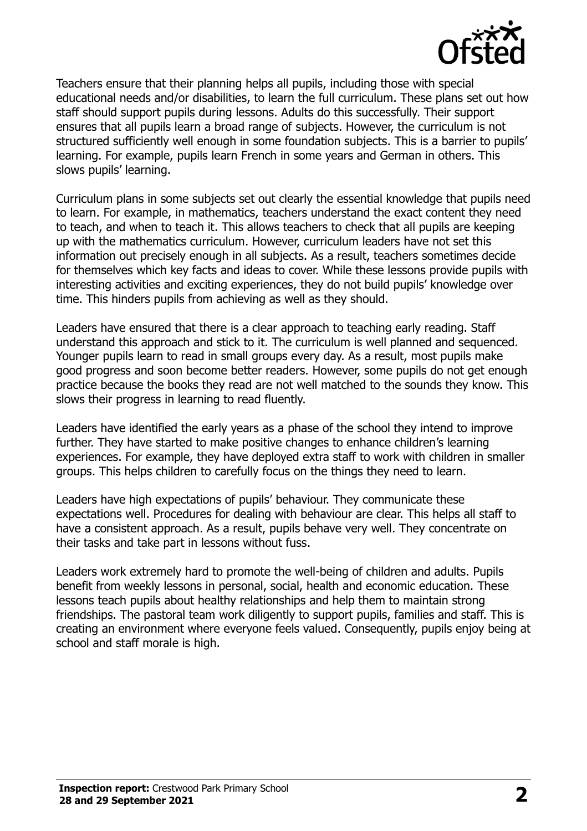

Teachers ensure that their planning helps all pupils, including those with special educational needs and/or disabilities, to learn the full curriculum. These plans set out how staff should support pupils during lessons. Adults do this successfully. Their support ensures that all pupils learn a broad range of subjects. However, the curriculum is not structured sufficiently well enough in some foundation subjects. This is a barrier to pupils' learning. For example, pupils learn French in some years and German in others. This slows pupils' learning.

Curriculum plans in some subjects set out clearly the essential knowledge that pupils need to learn. For example, in mathematics, teachers understand the exact content they need to teach, and when to teach it. This allows teachers to check that all pupils are keeping up with the mathematics curriculum. However, curriculum leaders have not set this information out precisely enough in all subjects. As a result, teachers sometimes decide for themselves which key facts and ideas to cover. While these lessons provide pupils with interesting activities and exciting experiences, they do not build pupils' knowledge over time. This hinders pupils from achieving as well as they should.

Leaders have ensured that there is a clear approach to teaching early reading. Staff understand this approach and stick to it. The curriculum is well planned and sequenced. Younger pupils learn to read in small groups every day. As a result, most pupils make good progress and soon become better readers. However, some pupils do not get enough practice because the books they read are not well matched to the sounds they know. This slows their progress in learning to read fluently.

Leaders have identified the early years as a phase of the school they intend to improve further. They have started to make positive changes to enhance children's learning experiences. For example, they have deployed extra staff to work with children in smaller groups. This helps children to carefully focus on the things they need to learn.

Leaders have high expectations of pupils' behaviour. They communicate these expectations well. Procedures for dealing with behaviour are clear. This helps all staff to have a consistent approach. As a result, pupils behave very well. They concentrate on their tasks and take part in lessons without fuss.

Leaders work extremely hard to promote the well-being of children and adults. Pupils benefit from weekly lessons in personal, social, health and economic education. These lessons teach pupils about healthy relationships and help them to maintain strong friendships. The pastoral team work diligently to support pupils, families and staff. This is creating an environment where everyone feels valued. Consequently, pupils enjoy being at school and staff morale is high.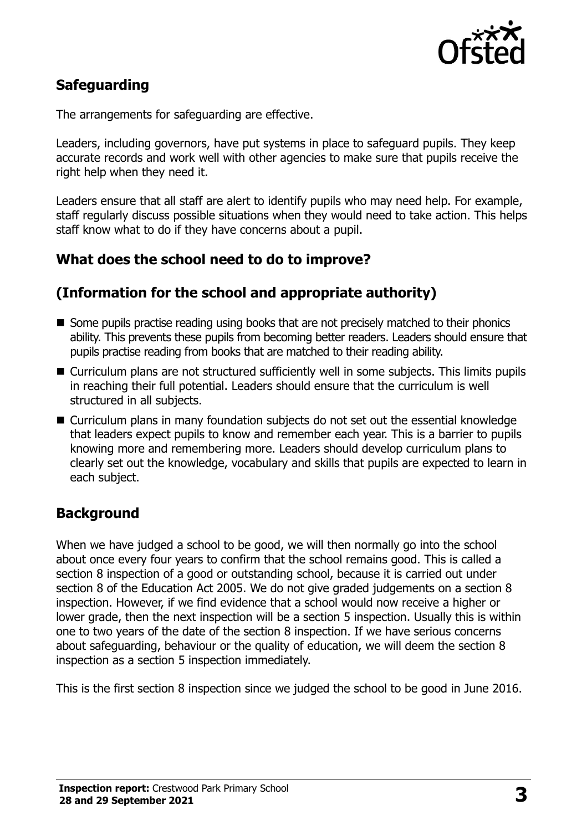

# **Safeguarding**

The arrangements for safeguarding are effective.

Leaders, including governors, have put systems in place to safeguard pupils. They keep accurate records and work well with other agencies to make sure that pupils receive the right help when they need it.

Leaders ensure that all staff are alert to identify pupils who may need help. For example, staff regularly discuss possible situations when they would need to take action. This helps staff know what to do if they have concerns about a pupil.

# **What does the school need to do to improve?**

# **(Information for the school and appropriate authority)**

- Some pupils practise reading using books that are not precisely matched to their phonics ability. This prevents these pupils from becoming better readers. Leaders should ensure that pupils practise reading from books that are matched to their reading ability.
- Curriculum plans are not structured sufficiently well in some subjects. This limits pupils in reaching their full potential. Leaders should ensure that the curriculum is well structured in all subjects.
- Curriculum plans in many foundation subjects do not set out the essential knowledge that leaders expect pupils to know and remember each year. This is a barrier to pupils knowing more and remembering more. Leaders should develop curriculum plans to clearly set out the knowledge, vocabulary and skills that pupils are expected to learn in each subject.

### **Background**

When we have judged a school to be good, we will then normally go into the school about once every four years to confirm that the school remains good. This is called a section 8 inspection of a good or outstanding school, because it is carried out under section 8 of the Education Act 2005. We do not give graded judgements on a section 8 inspection. However, if we find evidence that a school would now receive a higher or lower grade, then the next inspection will be a section 5 inspection. Usually this is within one to two years of the date of the section 8 inspection. If we have serious concerns about safeguarding, behaviour or the quality of education, we will deem the section 8 inspection as a section 5 inspection immediately.

This is the first section 8 inspection since we judged the school to be good in June 2016.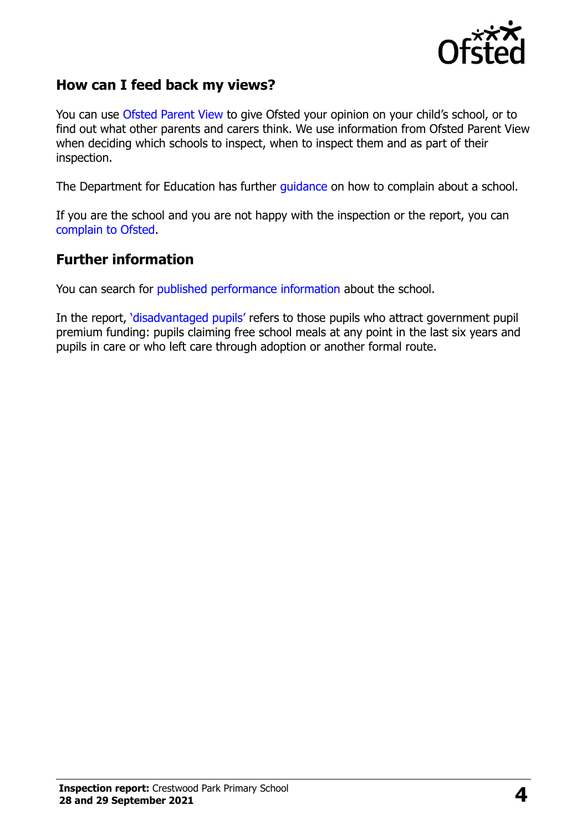

### **How can I feed back my views?**

You can use [Ofsted Parent View](https://parentview.ofsted.gov.uk/) to give Ofsted your opinion on your child's school, or to find out what other parents and carers think. We use information from Ofsted Parent View when deciding which schools to inspect, when to inspect them and as part of their inspection.

The Department for Education has further [guidance](http://www.gov.uk/complain-about-school) on how to complain about a school.

If you are the school and you are not happy with the inspection or the report, you can [complain to Ofsted.](https://www.gov.uk/complain-ofsted-report)

#### **Further information**

You can search for [published performance information](http://www.compare-school-performance.service.gov.uk/) about the school.

In the report, '[disadvantaged pupils](http://www.gov.uk/guidance/pupil-premium-information-for-schools-and-alternative-provision-settings)' refers to those pupils who attract government pupil premium funding: pupils claiming free school meals at any point in the last six years and pupils in care or who left care through adoption or another formal route.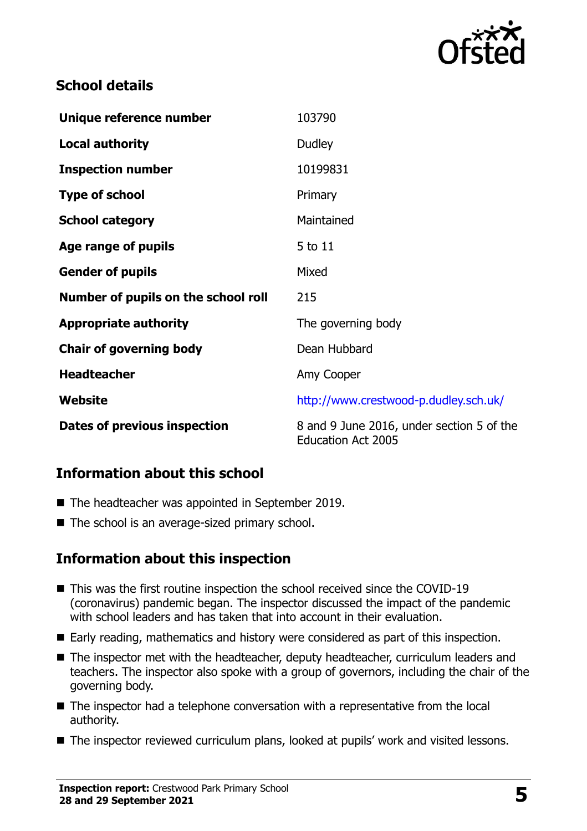

# **School details**

| Unique reference number             | 103790                                                                 |
|-------------------------------------|------------------------------------------------------------------------|
| <b>Local authority</b>              | <b>Dudley</b>                                                          |
| <b>Inspection number</b>            | 10199831                                                               |
| <b>Type of school</b>               | Primary                                                                |
| <b>School category</b>              | Maintained                                                             |
| Age range of pupils                 | 5 to 11                                                                |
| <b>Gender of pupils</b>             | Mixed                                                                  |
| Number of pupils on the school roll | 215                                                                    |
| <b>Appropriate authority</b>        | The governing body                                                     |
| <b>Chair of governing body</b>      | Dean Hubbard                                                           |
| <b>Headteacher</b>                  | Amy Cooper                                                             |
| Website                             | http://www.crestwood-p.dudley.sch.uk/                                  |
| Dates of previous inspection        | 8 and 9 June 2016, under section 5 of the<br><b>Education Act 2005</b> |

### **Information about this school**

- The headteacher was appointed in September 2019.
- The school is an average-sized primary school.

### **Information about this inspection**

- This was the first routine inspection the school received since the COVID-19 (coronavirus) pandemic began. The inspector discussed the impact of the pandemic with school leaders and has taken that into account in their evaluation.
- Early reading, mathematics and history were considered as part of this inspection.
- The inspector met with the headteacher, deputy headteacher, curriculum leaders and teachers. The inspector also spoke with a group of governors, including the chair of the governing body.
- The inspector had a telephone conversation with a representative from the local authority.
- The inspector reviewed curriculum plans, looked at pupils' work and visited lessons.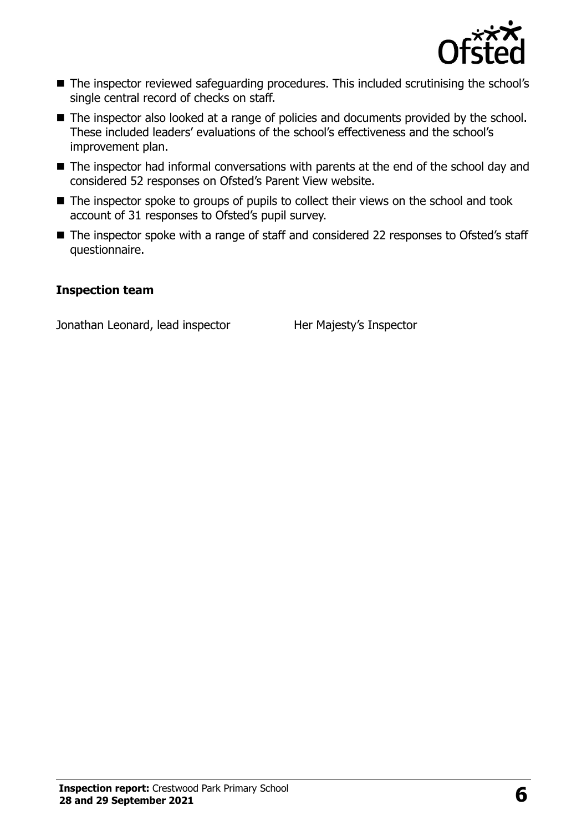

- The inspector reviewed safeguarding procedures. This included scrutinising the school's single central record of checks on staff.
- The inspector also looked at a range of policies and documents provided by the school. These included leaders' evaluations of the school's effectiveness and the school's improvement plan.
- The inspector had informal conversations with parents at the end of the school day and considered 52 responses on Ofsted's Parent View website.
- The inspector spoke to groups of pupils to collect their views on the school and took account of 31 responses to Ofsted's pupil survey.
- The inspector spoke with a range of staff and considered 22 responses to Ofsted's staff questionnaire.

#### **Inspection team**

Jonathan Leonard, lead inspector Her Majesty's Inspector